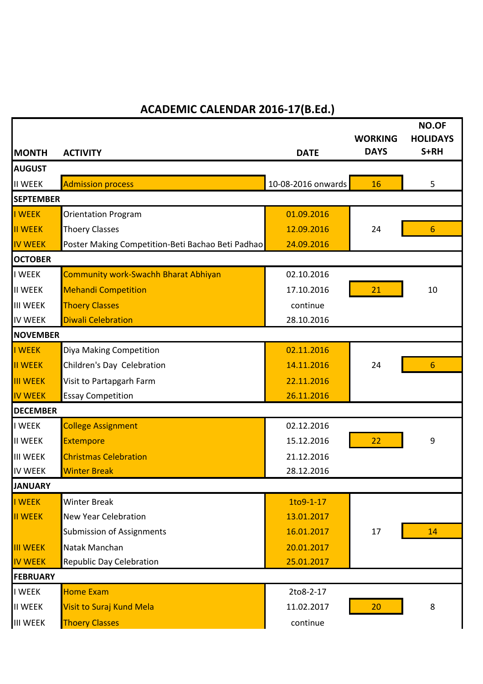## **ACADEMIC CALENDAR 2016-17(B.Ed.)**

|                                 |                                                   |                    | <b>WORKING</b><br><b>DAYS</b> | <b>NO.OF</b><br><b>HOLIDAYS</b><br>S+RH |  |
|---------------------------------|---------------------------------------------------|--------------------|-------------------------------|-----------------------------------------|--|
| <b>MONTH</b>                    | <b>ACTIVITY</b>                                   | <b>DATE</b>        |                               |                                         |  |
| <b>AUGUST</b><br><b>II WEEK</b> | <b>Admission process</b>                          | 10-08-2016 onwards | 16                            | 5                                       |  |
| <b>SEPTEMBER</b>                |                                                   |                    |                               |                                         |  |
| <b>I WEEK</b>                   | <b>Orientation Program</b>                        | 01.09.2016         |                               |                                         |  |
| <b>II WEEK</b>                  | <b>Thoery Classes</b>                             | 12.09.2016         | 24                            | 6                                       |  |
| <b>IV WEEK</b>                  | Poster Making Competition-Beti Bachao Beti Padhao | 24.09.2016         |                               |                                         |  |
| <b>OCTOBER</b>                  |                                                   |                    |                               |                                         |  |
| I WEEK                          | <b>Community work-Swachh Bharat Abhiyan</b>       | 02.10.2016         |                               |                                         |  |
| <b>II WEEK</b>                  | <b>Mehandi Competition</b>                        | 17.10.2016         | 21                            | 10                                      |  |
| <b>III WEEK</b>                 | <b>Thoery Classes</b>                             | continue           |                               |                                         |  |
| <b>IV WEEK</b>                  | <b>Diwali Celebration</b>                         | 28.10.2016         |                               |                                         |  |
| <b>NOVEMBER</b>                 |                                                   |                    |                               |                                         |  |
| <b>I WEEK</b>                   | Diya Making Competition                           | 02.11.2016         |                               |                                         |  |
| <b>II WEEK</b>                  | Children's Day Celebration                        | 14.11.2016         | 24                            | 6                                       |  |
| <b>III WEEK</b>                 | Visit to Partapgarh Farm                          | 22.11.2016         |                               |                                         |  |
| <b>IV WEEK</b>                  | <b>Essay Competition</b>                          | 26.11.2016         |                               |                                         |  |
| <b>DECEMBER</b>                 |                                                   |                    |                               |                                         |  |
| I WEEK                          | <b>College Assignment</b>                         | 02.12.2016         |                               |                                         |  |
| <b>II WEEK</b>                  | Extempore                                         | 15.12.2016         | 22                            | 9                                       |  |
| <b>III WEEK</b>                 | <b>Christmas Celebration</b>                      | 21.12.2016         |                               |                                         |  |
| <b>IV WEEK</b>                  | <b>Winter Break</b>                               | 28.12.2016         |                               |                                         |  |
| <b>JANUARY</b>                  |                                                   |                    |                               |                                         |  |
| <b>I WEEK</b>                   | <b>Winter Break</b>                               | 1to9-1-17          |                               |                                         |  |
| <b>II WEEK</b>                  | <b>New Year Celebration</b>                       | 13.01.2017         |                               |                                         |  |
|                                 | <b>Submission of Assignments</b>                  | 16.01.2017         | 17                            | 14                                      |  |
| <b>III WEEK</b>                 | Natak Manchan                                     | 20.01.2017         |                               |                                         |  |
| <b>IV WEEK</b>                  | Republic Day Celebration                          | 25.01.2017         |                               |                                         |  |
| <b>FEBRUARY</b>                 |                                                   |                    |                               |                                         |  |
| I WEEK                          | <b>Home Exam</b>                                  | 2to8-2-17          |                               |                                         |  |
| <b>II WEEK</b>                  | Visit to Suraj Kund Mela                          | 11.02.2017         | 20                            | 8                                       |  |
| <b>III WEEK</b>                 | <b>Thoery Classes</b>                             | continue           |                               |                                         |  |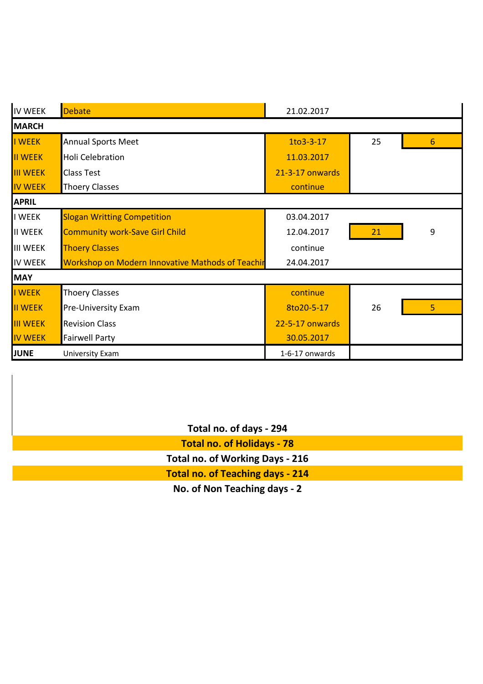| <b>IV WEEK</b>  | Debate                                           | 21.02.2017      |    |                 |  |  |  |
|-----------------|--------------------------------------------------|-----------------|----|-----------------|--|--|--|
| <b>MARCH</b>    |                                                  |                 |    |                 |  |  |  |
| I WEEK          | <b>Annual Sports Meet</b>                        | 1to3-3-17       | 25 | $6\phantom{1}6$ |  |  |  |
| <b>II WEEK</b>  | <b>Holi Celebration</b>                          | 11.03.2017      |    |                 |  |  |  |
| <b>III WEEK</b> | <b>Class Test</b>                                | 21-3-17 onwards |    |                 |  |  |  |
| <b>IV WEEK</b>  | <b>Thoery Classes</b>                            | continue        |    |                 |  |  |  |
| <b>APRIL</b>    |                                                  |                 |    |                 |  |  |  |
| <b>I WEEK</b>   | <b>Slogan Writting Competition</b>               | 03.04.2017      |    |                 |  |  |  |
| <b>II WEEK</b>  | <b>Community work-Save Girl Child</b>            | 12.04.2017      | 21 | $9$             |  |  |  |
| <b>III WEEK</b> | <b>Thoery Classes</b>                            | continue        |    |                 |  |  |  |
| <b>IV WEEK</b>  | Workshop on Modern Innovative Mathods of Teachir | 24.04.2017      |    |                 |  |  |  |
| <b>MAY</b>      |                                                  |                 |    |                 |  |  |  |
| I WEEK          | <b>Thoery Classes</b>                            | continue        |    |                 |  |  |  |
| <b>II WEEK</b>  | Pre-University Exam                              | 8to20-5-17      | 26 | 5               |  |  |  |
| <b>III WEEK</b> | <b>Revision Class</b>                            | 22-5-17 onwards |    |                 |  |  |  |
| <b>IV WEEK</b>  | <b>Fairwell Party</b>                            | 30.05.2017      |    |                 |  |  |  |
| <b>JUNE</b>     | <b>University Exam</b>                           | 1-6-17 onwards  |    |                 |  |  |  |

| Total no. of days - 294                 |
|-----------------------------------------|
| <b>Total no. of Holidays - 78</b>       |
| <b>Total no. of Working Days - 216</b>  |
| <b>Total no. of Teaching days - 214</b> |
| No of Non Tosching dave - 2             |

**No. of Non Teaching days - 2**